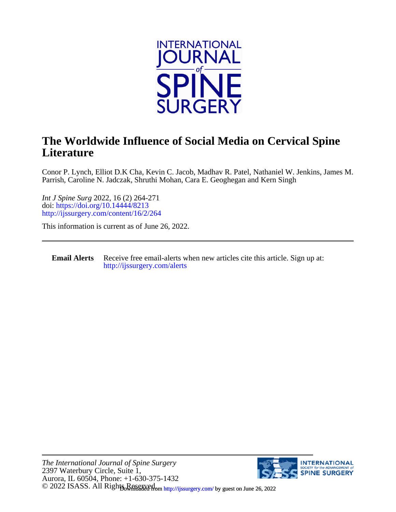

## **Literature The Worldwide Influence of Social Media on Cervical Spine**

Parrish, Caroline N. Jadczak, Shruthi Mohan, Cara E. Geoghegan and Kern Singh Conor P. Lynch, Elliot D.K Cha, Kevin C. Jacob, Madhav R. Patel, Nathaniel W. Jenkins, James M.

<http://ijssurgery.com/content/16/2/264> doi:<https://doi.org/10.14444/8213> *Int J Spine Surg* 2022, 16 (2) 264-271

This information is current as of June 26, 2022.

**Email Alerts** [http://ijssurgery.com/alerts](http://jpm.iijournals.com/alerts) Receive free email-alerts when new articles cite this article. Sign up at:

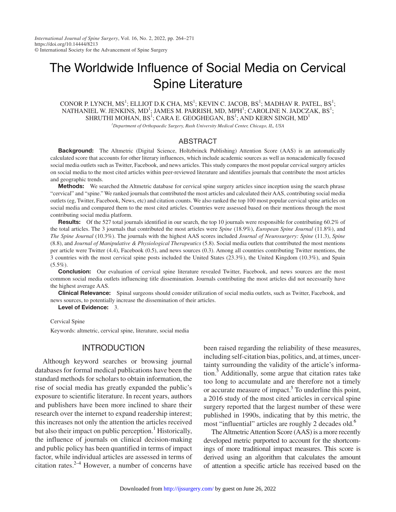# The Worldwide Influence of Social Media on Cervical Spine Literature

CONOR P. LYNCH,  $MS^1$ ; ELLIOT D.K CHA,  $MS^1$ ; KEVIN C. JACOB,  $BS^1$ ; MADHAV R. PATEL,  $BS^1$ ; NATHANIEL W. JENKINS, MD<sup>1</sup>; JAMES M. PARRISH, MD, MPH<sup>1</sup>; CAROLINE N. JADCZAK, BS<sup>1</sup>; SHRUTHI MOHAN,  $BS^1$ ; CARA E. GEOGHEGAN,  $BS^1$ ; AND KERN SINGH,  $MD^1$ 

*1 Department of Orthopaedic Surgery, Rush University Medical Center, Chicago, IL, USA*

#### ABSTRACT

Background: The Altmetric (Digital Science, Holtzbrinck Publishing) Attention Score (AAS) is an automatically calculated score that accounts for other literary influences, which include academic sources as well as nonacademically focused social media outlets such as Twitter, Facebook, and news articles. This study compares the most popular cervical surgery articles on social media to the most cited articles within peer-reviewed literature and identifies journals that contribute the most articles and geographic trends.

Methods: We searched the Altmetric database for cervical spine surgery articles since inception using the search phrase "cervical" and "spine." We ranked journals that contributed the most articles and calculated their AAS, contributing social media outlets (eg, Twitter, Facebook, News, etc) and citation counts. We also ranked the top 100 most popular cervical spine articles on social media and compared them to the most cited articles. Countries were assessed based on their mentions through the most contributing social media platform.

Results: Of the 527 total journals identified in our search, the top 10 journals were responsible for contributing 60.2% of the total articles. The 3 journals that contributed the most articles were *Spine* (18.9%), *European Spine Journal* (11.8%), and *The Spine Journal* (10.3%). The journals with the highest AAS scores included *Journal of Neurosurgery: Spine* (11.3), *Spine* (8.8), and *Journal of Manipulative & Physiological Therapeutics* (5.8). Social media outlets that contributed the most mentions per article were Twitter (4.4), Facebook (0.5), and news sources (0.3). Among all countries contributing Twitter mentions, the 3 countries with the most cervical spine posts included the United States (23.3%), the United Kingdom (10.3%), and Spain  $(5.5\%)$ .

**Conclusion:** Our evaluation of cervical spine literature revealed Twitter, Facebook, and news sources are the most common social media outlets influencing title dissemination. Journals contributing the most articles did not necessarily have the highest average AAS.

**Clinical Relevance:** Spinal surgeons should consider utilization of social media outlets, such as Twitter, Facebook, and news sources, to potentially increase the dissemination of their articles.

Level of Evidence: 3.

#### Cervical Spine

Keywords: altmetric, cervical spine, literature, social media

## INTRODUCTION

Although keyword searches or browsing journal databases for formal medical publications have been the standard methods for scholars to obtain information, the rise of social media has greatly expanded the public's exposure to scientific literature. In recent years, authors and publishers have been more inclined to share their research over the internet to expand readership interest; this increases not only the attention the articles received but also their impact on public perception.<sup>[1](#page-7-0)</sup> Historically, the influence of journals on clinical decision-making and public policy has been quantified in terms of impact factor, while individual articles are assessed in terms of citation rates. $2^{-4}$  However, a number of concerns have

been raised regarding the reliability of these measures, including self-citation bias, politics, and, at times, uncertainty surrounding the validity of the article's informa-tion.<sup>[5](#page-7-2)</sup> Additionally, some argue that citation rates take too long to accumulate and are therefore not a timely or accurate measure of impact.<sup>[5](#page-7-2)</sup> To underline this point, a 2016 study of the most cited articles in cervical spine surgery reported that the largest number of these were published in 1990s, indicating that by this metric, the most "influential" articles are roughly 2 decades old.<sup>6</sup>

The Altmetric Attention Score (AAS) is a more recently developed metric purported to account for the shortcomings of more traditional impact measures. This score is derived using an algorithm that calculates the amount of attention a specific article has received based on the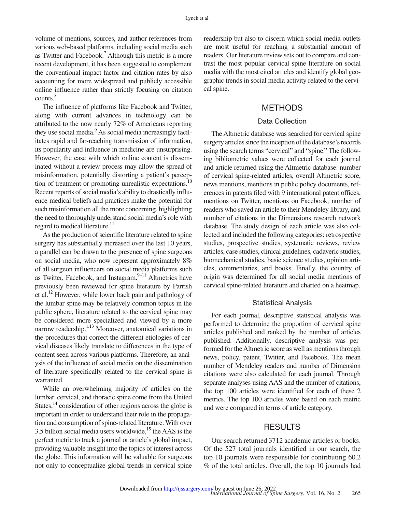volume of mentions, sources, and author references from various web-based platforms, including social media such as Twitter and Facebook.<sup>7</sup> Although this metric is a more recent development, it has been suggested to complement the conventional impact factor and citation rates by also accounting for more widespread and publicly accessible online influence rather than strictly focusing on citation counts[.8](#page-7-5)

The influence of platforms like Facebook and Twitter, along with current advances in technology can be attributed to the now nearly 72% of Americans reporting they use social media.<sup>9</sup> As social media increasingly facilitates rapid and far-reaching transmission of information, its popularity and influence in medicine are unsurprising. However, the ease with which online content is disseminated without a review process may allow the spread of misinformation, potentially distorting a patient's perception of treatment or promoting unrealistic expectations.<sup>10</sup> Recent reports of social media's ability to drastically influence medical beliefs and practices make the potential for such misinformation all the more concerning, highlighting the need to thoroughly understand social media's role with regard to medical literature.<sup>[11](#page-8-0)</sup>

As the production of scientific literature related to spine surgery has substantially increased over the last 10 years, a parallel can be drawn to the presence of spine surgeons on social media, who now represent approximately 8% of all surgeon influencers on social media platforms such as Twitter, Facebook, and Instagram. $9-11$  Altmetrics have previously been reviewed for spine literature by Parrish et al.[12](#page-8-1) However, while lower back pain and pathology of the lumbar spine may be relatively common topics in the public sphere, literature related to the cervical spine may be considered more specialized and viewed by a more narrow readership.<sup>1,13</sup> Moreover, anatomical variations in the procedures that correct the different etiologies of cervical diseases likely translate to differences in the type of content seen across various platforms. Therefore, an analysis of the influence of social media on the dissemination of literature specifically related to the cervical spine is warranted.

While an overwhelming majority of articles on the lumbar, cervical, and thoracic spine come from the United States,<sup>14</sup> consideration of other regions across the globe is important in order to understand their role in the propagation and consumption of spine-related literature. With over 3.5 billion social media users worldwide,<sup>15</sup> the AAS is the perfect metric to track a journal or article's global impact, providing valuable insight into the topics of interest across the globe. This information will be valuable for surgeons not only to conceptualize global trends in cervical spine readership but also to discern which social media outlets are most useful for reaching a substantial amount of readers. Our literature review sets out to compare and contrast the most popular cervical spine literature on social media with the most cited articles and identify global geographic trends in social media activity related to the cervical spine.

## METHODS

#### Data Collection

The Altmetric database was searched for cervical spine surgery articles since the inception of the database's records using the search terms "cervical" and "spine." The following bibliometric values were collected for each journal and article returned using the Altmetric database: number of cervical spine-related articles, overall Altmetric score, news mentions, mentions in public policy documents, references in patents filed with 9 international patent offices, mentions on Twitter, mentions on Facebook, number of readers who saved an article to their Mendeley library, and number of citations in the Dimensions research network database. The study design of each article was also collected and included the following categories: retrospective studies, prospective studies, systematic reviews, review articles, case studies, clinical guidelines, cadaveric studies, biomechanical studies, basic science studies, opinion articles, commentaries, and books. Finally, the country of origin was determined for all social media mentions of cervical spine-related literature and charted on a heatmap.

#### Statistical Analysis

For each journal, descriptive statistical analysis was performed to determine the proportion of cervical spine articles published and ranked by the number of articles published. Additionally, descriptive analysis was performed for the Altmetric score as well as mentions through news, policy, patent, Twitter, and Facebook. The mean number of Mendeley readers and number of Dimension citations were also calculated for each journal. Through separate analyses using AAS and the number of citations, the top 100 articles were identified for each of these 2 metrics. The top 100 articles were based on each metric and were compared in terms of article category.

## **RESULTS**

Our search returned 3712 academic articles or books. Of the 527 total journals identified in our search, the top 10 journals were responsible for contributing 60.2 % of the total articles. Overall, the top 10 journals had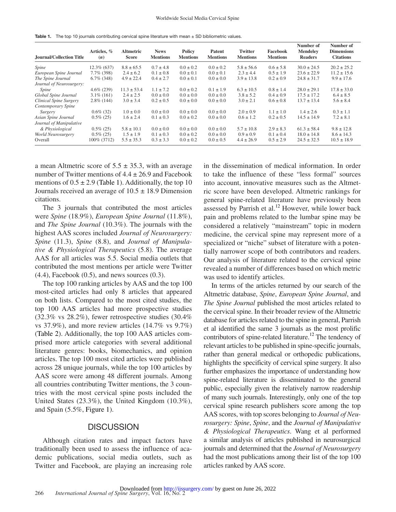<span id="page-3-0"></span>**Table 1.** The top 10 journals contributing cervical spine literature with mean  $\pm$  SD bibliometric values.

| <b>Journal/Collection Title</b> | Articles, %<br>(n) | <b>Altmetric</b><br><b>Score</b> | <b>News</b><br><b>Mentions</b> | Policy<br><b>Mentions</b> | Patent<br><b>Mentions</b> | <b>Twitter</b><br><b>Mentions</b> | Facebook<br><b>Mentions</b> | Number of<br><b>Mendelev</b><br><b>Readers</b> | Number of<br><b>Dimensions</b><br><b>Citations</b> |
|---------------------------------|--------------------|----------------------------------|--------------------------------|---------------------------|---------------------------|-----------------------------------|-----------------------------|------------------------------------------------|----------------------------------------------------|
| Spine                           | $12.3\%$ (637)     | $8.8 \pm 65.5$                   | $0.7 \pm 4.8$                  | $0.0 \pm 0.2$             | $0.0 \pm 0.2$             | $5.8 \pm 56.6$                    | $0.6 \pm 5.8$               | $30.0 \pm 24.5$                                | $20.2 \pm 25.2$                                    |
| European Spine Journal          | $7.7\%$ (398)      | $2.4 \pm 6.2$                    | $0.1 \pm 0.8$                  | $0.0 \pm 0.1$             | $0.0 \pm 0.1$             | $2.3 \pm 4.4$                     | $0.5 \pm 1.9$               | $23.6 \pm 22.9$                                | $11.2 \pm 15.6$                                    |
| The Spine Journal               | $6.7\%$ (348)      | $4.9 \pm 22.4$                   | $0.4 \pm 2.7$                  | $0.0 \pm 0.1$             | $0.0 \pm 0.0$             | $3.9 \pm 13.8$                    | $0.2 \pm 0.9$               | $24.8 \pm 31.7$                                | $9.9 \pm 17.6$                                     |
| Journal of Neurosurgery:        |                    |                                  |                                |                           |                           |                                   |                             |                                                |                                                    |
| Spine                           | $4.6\%$ (239)      | $11.3 \pm 53.4$                  | $1.1 \pm 7.2$                  | $0.0 \pm 0.2$             | $0.1 \pm 1.9$             | $6.3 \pm 10.5$                    | $0.8 \pm 1.4$               | $28.0 \pm 29.1$                                | $17.8 \pm 33.0$                                    |
| Global Spine Journal            | $3.1\%$ (161)      | $2.4 \pm 2.5$                    | $0.0 \pm 0.0$                  | $0.0 \pm 0.0$             | $0.0 \pm 0.0$             | $3.8 \pm 5.2$                     | $0.4 \pm 0.9$               | $17.5 \pm 17.2$                                | $6.4 \pm 8.5$                                      |
| Clinical Spine Surgery          | $2.8\%$ (144)      | $3.0 \pm 3.4$                    | $0.2 \pm 0.5$                  | $0.0 \pm 0.0$             | $0.0 \pm 0.0$             | $3.0 \pm 2.1$                     | $0.6 \pm 0.8$               | $13.7 \pm 13.4$                                | $5.6 \pm 8.4$                                      |
| Contemporary Spine              |                    |                                  |                                |                           |                           |                                   |                             |                                                |                                                    |
| Surgery                         | $0.6\%$ (32)       | $1.0 \pm 0.0$                    | $0.0 \pm 0.0$                  | $0.0 \pm 0.0$             | $0.0 \pm 0.0$             | $2.0 \pm 0.9$                     | $1.1 \pm 1.0$               | $1.4 \pm 2.6$                                  | $0.3 \pm 1.1$                                      |
| Asian Spine Journal             | $0.5\%$ (25)       | $1.6 \pm 2.4$                    | $0.1 \pm 0.3$                  | $0.0 \pm 0.2$             | $0.0 \pm 0.0$             | $0.6 \pm 1.2$                     | $0.2 \pm 0.5$               | $14.5 \pm 14.9$                                | $7.2 \pm 8.1$                                      |
| Journal of Manipulative         |                    |                                  |                                |                           |                           |                                   |                             |                                                |                                                    |
| & Physiological                 | $0.5\%$ (25)       | $5.8 \pm 10.1$                   | $0.0 \pm 0.0$                  | $0.0 \pm 0.0$             | $0.0 \pm 0.0$             | $5.7 \pm 10.8$                    | $2.9 \pm 8.3$               | $61.3 \pm 58.4$                                | $9.8 \pm 12.8$                                     |
| World Neurosurgery              | $0.5\%$ (25)       | $1.5 \pm 1.9$                    | $0.1 \pm 0.3$                  | $0.0 \pm 0.2$             | $0.0 \pm 0.0$             | $0.9 \pm 0.9$                     | $0.1 \pm 0.4$               | $18.0 \pm 14.8$                                | $8.6 \pm 14.3$                                     |
| Overall                         | 100\% (3712)       | $5.5 \pm 35.3$                   | $0.3 \pm 3.3$                  | $0.0 \pm 0.2$             | $0.0 \pm 0.5$             | $4.4 \pm 26.9$                    | $0.5 \pm 2.9$               | $24.5 \pm 32.5$                                | $10.5 \pm 18.9$                                    |

a mean Altmetric score of  $5.5 \pm 35.3$ , with an average number of Twitter mentions of  $4.4 \pm 26.9$  and Facebook mentions of  $0.5 \pm 2.9$  [\(Table](#page-3-0) 1). Additionally, the top 10 Journals received an average of  $10.5 \pm 18.9$  Dimension citations.

The 3 journals that contributed the most articles were *Spine* (18.9%), *European Spine Journal* (11.8%), and *The Spine Journal* (10.3%). The journals with the highest AAS scores included *Journal of Neurosurgery: Spine* (11.3), *Spine* (8.8), and *Journal of Manipulative & Physiological Therapeutics* (5.8). The average AAS for all articles was 5.5. Social media outlets that contributed the most mentions per article were Twitter  $(4.4)$ , Facebook  $(0.5)$ , and news sources  $(0.3)$ .

The top 100 ranking articles by AAS and the top 100 most-cited articles had only 8 articles that appeared on both lists. Compared to the most cited studies, the top 100 AAS articles had more prospective studies (32.3% vs 28.2%), fewer retrospective studies (30.4% vs 37.9%), and more review articles (14.7% vs 9.7%) ([Table](#page-4-0) 2). Additionally, the top 100 AAS articles comprised more article categories with several additional literature genres: books, biomechanics, and opinion articles. The top 100 most cited articles were published across 28 unique journals, while the top 100 articles by AAS score were among 48 different journals. Among all countries contributing Twitter mentions, the 3 countries with the most cervical spine posts included the United States (23.3%), the United Kingdom (10.3%), and Spain (5.5%, [Figure](#page-5-0) 1).

## **DISCUSSION**

Although citation rates and impact factors have traditionally been used to assess the influence of academic publications, social media outlets, such as Twitter and Facebook, are playing an increasing role

in the dissemination of medical information. In order to take the influence of these "less formal" sources into account, innovative measures such as the Altmetric score have been developed. Altmetric rankings for general spine-related literature have previously been assessed by Parrish et al.<sup>[12](#page-8-1)</sup> However, while lower back pain and problems related to the lumbar spine may be considered a relatively "mainstream" topic in modern medicine, the cervical spine may represent more of a specialized or "niche" subset of literature with a potentially narrower scope of both contributors and readers. Our analysis of literature related to the cervical spine revealed a number of differences based on which metric was used to identify articles.

In terms of the articles returned by our search of the Altmetric database, *Spine*, *European Spine Journal*, and *The Spine Journal* published the most articles related to the cervical spine. In their broader review of the Altmetric database for articles related to the spine in general, Parrish et al identified the same 3 journals as the most prolific contributors of spine-related literature.<sup>12</sup> The tendency of relevant articles to be published in spine-specific journals, rather than general medical or orthopedic publications, highlights the specificity of cervical spine surgery. It also further emphasizes the importance of understanding how spine-related literature is disseminated to the general public, especially given the relatively narrow readership of many such journals. Interestingly, only one of the top cervical spine research publishers score among the top AAS scores, with top scores belonging to *Journal of Neurosurgery: Spine*, *Spine*, and the *Journal of Manipulative & Physiological Therapeutics*. Wang et al performed a similar analysis of articles published in neurosurgical journals and determined that the *Journal of Neurosurgery* had the most publications among their list of the top 100 articles ranked by AAS score.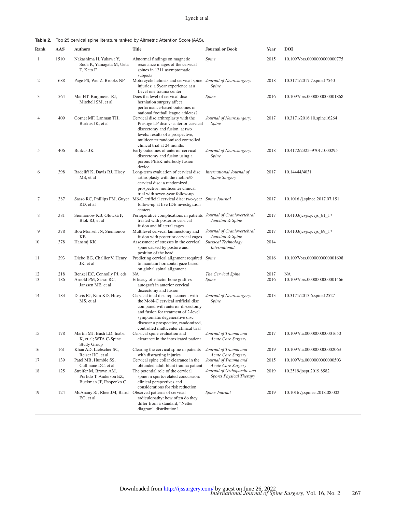<span id="page-4-0"></span>Table 2. Top 25 cervical spine literature ranked by Altmetric Attention Score (AAS).

| Rank     | AAS        | <b>Authors</b>                                                              | <b>Title</b>                                                                                                                                                                                                                                                             | <b>Journal or Book</b>                                       | Year         | <b>DOI</b>                         |
|----------|------------|-----------------------------------------------------------------------------|--------------------------------------------------------------------------------------------------------------------------------------------------------------------------------------------------------------------------------------------------------------------------|--------------------------------------------------------------|--------------|------------------------------------|
| 1        | 1510       | Nakashima H, Yukawa Y,<br>Suda K, Yamagata M, Ueta<br>T, Kato F             | Abnormal findings on magnetic<br>resonance images of the cervical<br>spines in 1211 asymptomatic<br>subjects                                                                                                                                                             | Spine                                                        | 2015         | 10.1097/brs.0000000000000775       |
| 2        | 688        | Page PS, Wei Z, Brooks NP                                                   | Motorcycle helmets and cervical spine Journal of Neurosurgery:<br>injuries: a 5year experience at a                                                                                                                                                                      | Spine                                                        | 2018         | 10.3171/2017.7.spine17540          |
| 3        | 564        | Mai HT, Burgmeier RJ,<br>Mitchell SM, et al                                 | Level one trauma center<br>Does the level of cervical disc<br>herniation surgery affect<br>performance-based outcomes in<br>national football league athletes?                                                                                                           | Spine                                                        | 2016         | 10.1097/brs.0000000000001868       |
| 4        | 409        | Gornet MF, Lanman TH,<br>Burkus JK, et al.                                  | Cervical disc arthroplasty with the<br>Prestige LP disc vs anterior cervical<br>discectomy and fusion, at two<br>levels: results of a prospective,<br>multicenter randomized controlled<br>clinical trial at 24 months                                                   | Journal of Neurosurgery:<br>Spine                            | 2017         | 10.3171/2016.10.spine16264         |
| 5        | 406        | Burkus JK                                                                   | Early outcomes of anterior cervical<br>discectomy and fusion using a<br>porous PEEK interbody fusion<br>device                                                                                                                                                           | Journal of Neurosurgery:<br>Spine                            | 2018         | 10.4172/2325-9701.1000295          |
| 6        | 398        | Radcliff K, Davis RJ, Hisey<br>MS, et al.                                   | Long-term evaluation of cervical disc<br>arthroplasty with the mobi-c©<br>cervical disc: a randomized,<br>prospective, multicenter clinical<br>trial with seven-year follow-up                                                                                           | International Journal of<br>Spine Surgery                    | 2017         | 10.14444/4031                      |
| 7        | 387        | RD, et al.                                                                  | Sasso RC, Phillips FM, Guyer M6-C artificial cervical disc: two-year Spine Journal<br>follow-up at five IDE investigation<br>centers                                                                                                                                     |                                                              | 2017         | 10.1016 /j.spinee.2017.07.151      |
| 8        | 381        | Siemionow KB, Glowka P,<br>Blok RJ, et al                                   | Perioperative complications in patients Journal of Craniovertebral<br>treated with posterior cervical<br>fusion and bilateral cages                                                                                                                                      | Junction & Spine                                             | 2017         | $10.4103$ /jcvjs.jcvjs_61_17       |
| 9        | 378        | Bou Monsef JN, Siemionow<br>KB.                                             | Multilevel cervical laminectomy and<br>fusion with posterior cervical cages                                                                                                                                                                                              | Journal of Craniovertebral<br>Junction & Spine               | 2017         | 10.4103/jcvjs.jcvjs_69_17          |
| 10       | 378        | Hansraj KK                                                                  | Assessment of stresses in the cervical<br>spine caused by posture and<br>position of the head.                                                                                                                                                                           | Surgical Technology<br><i>International</i>                  | 2014         |                                    |
| 11       | 293        | Diebo BG, Challier V, Henry<br>JK, et al.                                   | Predicting cervical alignment required Spine<br>to maintain horizontal gaze based<br>on global spinal alignment                                                                                                                                                          |                                                              | 2016         | 10.1097/brs.0000000000001698       |
| 12<br>13 | 218<br>186 | Benzel EC, Connolly PJ, eds<br>Arnold PM, Sasso RC,<br>Janssen ME, et al    | NA<br>Efficacy of i-factor bone graft vs<br>autograft in anterior cervical<br>discectomy and fusion                                                                                                                                                                      | The Cervical Spine<br>Spine                                  | 2017<br>2016 | NA<br>10.1097/brs.0000000000001466 |
| 14       | 183        | Davis RJ, Kim KD, Hisey<br>MS, et al.                                       | Cervical total disc replacement with<br>the Mobi-C cervical artificial disc<br>compared with anterior discectomy<br>and fusion for treatment of 2-level<br>symptomatic degenerative disc<br>disease: a prospective, randomized,<br>controlled multicenter clinical trial | Journal of Neurosurgery:<br>Spine                            | 2013         | 10.3171/2013.6.spine12527          |
| 15       | 178        | Martin MJ, Bush LD, Inaba<br>K, et al; WTA C-Spine<br><b>Study Group</b>    | Cervical spine evaluation and<br>clearance in the intoxicated patient                                                                                                                                                                                                    | Journal of Trauma and<br>Acute Care Surgery                  | 2017         | 10.1097/ta.0000000000001650        |
| 16       | 161        | Khan AD, Liebscher SC,<br>Reiser HC, et al.                                 | Clearing the cervical spine in patients<br>with distracting injuries                                                                                                                                                                                                     | Journal of Trauma and<br>Acute Care Surgery                  | 2019         | 10.1097/ta.0000000000002063        |
| 17       | 139        | Patel MB, Humble SS,<br>Cullinane DC, et al                                 | Cervical spine collar clearance in the<br>obtunded adult blunt trauma patient                                                                                                                                                                                            | Journal of Trauma and<br>Acute Care Surgery                  | 2015         | 10.1097/ta.0000000000000503        |
| 18       | 125        | Streifer M, Brown AM,<br>Porfido T, Anderson EZ,<br>Buckman JF, Esopenko C. | The potential role of the cervical<br>spine in sports-related concussion:<br>clinical perspectives and                                                                                                                                                                   | Journal of Orthopaedic and<br><b>Sports Physical Therapy</b> | 2019         | 10.2519/jospt.2019.8582            |
| 19       | 124        | McAnany SJ, Rhee JM, Baird Observed patterns of cervical<br>EO, et al.      | considerations for risk reduction<br>radiculopathy: how often do they<br>differ from a standard, "Netter<br>diagram" distribution?                                                                                                                                       | Spine Journal                                                | 2019         | 10.1016 /j.spinee.2018.08.002      |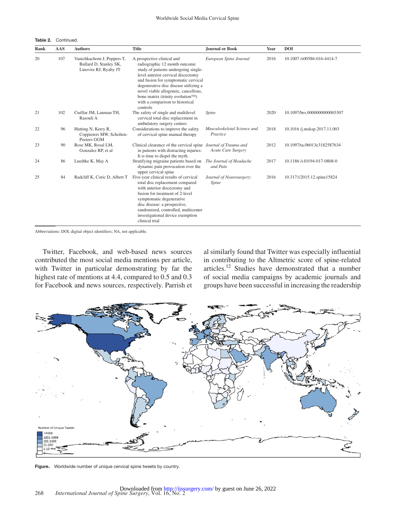Table 2. Continued.

| Rank | AAS | <b>Authors</b>                                                                 | <b>Title</b>                                                                                                                                                                                                                                                                                                                                         | <b>Journal or Book</b>                  | Year | <b>DOI</b>                   |
|------|-----|--------------------------------------------------------------------------------|------------------------------------------------------------------------------------------------------------------------------------------------------------------------------------------------------------------------------------------------------------------------------------------------------------------------------------------------------|-----------------------------------------|------|------------------------------|
| 20   | 107 | Vanichkachorn J, Peppers T,<br>Bullard D, Stanley SK,<br>Linovitz RJ, Ryaby JT | A prospective clinical and<br>radiographic 12 month outcome<br>study of patients undergoing single-<br>level anterior cervical discectomy<br>and fusion for symptomatic cervical<br>degenerative disc disease utilizing a<br>novel viable allogeneic, cancellous,<br>bone matrix (trinity evolution™)<br>with a comparison to historical<br>controls | European Spine Journal                  | 2016 | 10.1007/s00586-016-4414-7    |
| 21   | 102 | Cuéllar JM, Lanman TH,<br>Rasouli A                                            | The safety of single and multilevel<br>cervical total disc replacement in<br>ambulatory surgery centers                                                                                                                                                                                                                                              | Spine                                   | 2020 | 10.1097/brs.0000000000003307 |
| 22   | 96  | Hutting N, Kerry R,<br>Coppieters MW, Scholten-<br>Peeters GGM                 | Considerations to improve the safety<br>of cervical spine manual therapy                                                                                                                                                                                                                                                                             | Musculoskeletal Science and<br>Practice | 2018 | 10.1016 /j.msksp.2017.11.003 |
| 23   | 90  | Rose MK, Rosal LM,<br>Gonzalez RP, et al                                       | Clinical clearance of the cervical spine Journal of Trauma and<br>in patients with distracting injuries:<br>It is time to dispel the myth.                                                                                                                                                                                                           | <b>Acute Care Surgery</b>               | 2012 | 10.1097/ta.0b013e3182587634  |
| 24   | 86  | Luedtke K, May A                                                               | Stratifying migraine patients based on<br>dynamic pain provocation over the<br>upper cervical spine                                                                                                                                                                                                                                                  | The Journal of Headache<br>and Pain     | 2017 | 10.1186/s10194-017-0808-0    |
| 25   | 84  | Radcliff K, Coric D, Albert T                                                  | Five-year clinical results of cervical<br>total disc replacement compared<br>with anterior discectomy and<br>fusion for treatment of 2-level<br>symptomatic degenerative<br>disc disease: a prospective,<br>randomized, controlled, multicenter<br>investigational device exemption<br>clinical trial                                                | Journal of Neurosurgery:<br>Spine       | 2016 | 10.3171/2015.12.spine15824   |

Abbreviations: DOI, digital object identifiers; NA, not applicable.

Twitter, Facebook, and web-based news sources contributed the most social media mentions per article, with Twitter in particular demonstrating by far the highest rate of mentions at 4.4, compared to 0.5 and 0.3 for Facebook and news sources, respectively. Parrish et

al similarly found that Twitter was especially influential in contributing to the Altmetric score of spine-related articles.[12](#page-8-1) Studies have demonstrated that a number of social media campaigns by academic journals and groups have been successful in increasing the readership



<span id="page-5-0"></span>Figure. Worldwide number of unique cervical spine tweets by country.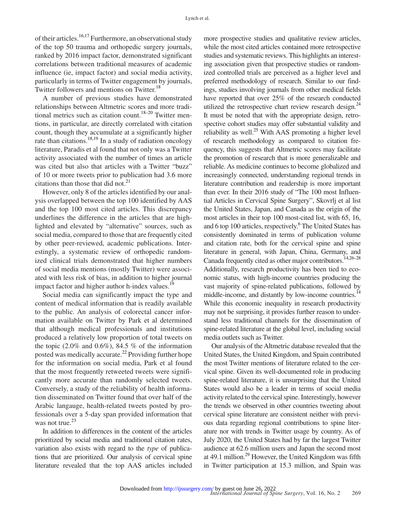of their articles.<sup>[16,17](#page-8-4)</sup> Furthermore, an observational study of the top 50 trauma and orthopedic surgery journals, ranked by 2016 impact factor, demonstrated significant correlations between traditional measures of academic influence (ie, impact factor) and social media activity, particularly in terms of Twitter engagement by journals, Twitter followers and mentions on Twitter.<sup>18</sup>

A number of previous studies have demonstrated relationships between Altmetric scores and more tradi-tional metrics such as citation count.<sup>[18–20](#page-8-5)</sup> Twitter mentions, in particular, are directly correlated with citation count, though they accumulate at a significantly higher rate than citations.<sup>18,19</sup> In a study of radiation oncology literature, Paradis et al found that not only was a Twitter activity associated with the number of times an article was cited but also that articles with a Twitter "buzz" of 10 or more tweets prior to publication had 3.6 more citations than those that did not. $^{21}$  $^{21}$  $^{21}$ 

However, only 8 of the articles identified by our analysis overlapped between the top 100 identified by AAS and the top 100 most cited articles. This discrepancy underlines the difference in the articles that are highlighted and elevated by "alternative" sources, such as social media, compared to those that are frequently cited by other peer-reviewed, academic publications. Interestingly, a systematic review of orthopedic randomized clinical trials demonstrated that higher numbers of social media mentions (mostly Twitter) were associated with less risk of bias, in addition to higher journal impact factor and higher author h-index values.<sup>19</sup>

Social media can significantly impact the type and content of medical information that is readily available to the public. An analysis of colorectal cancer information available on Twitter by Park et al determined that although medical professionals and institutions produced a relatively low proportion of total tweets on the topic  $(2.0\%$  and  $0.6\%)$ , 84.5 % of the information posted was medically accurate.<sup>[22](#page-8-8)</sup> Providing further hope for the information on social media, Park et al found that the most frequently retweeted tweets were significantly more accurate than randomly selected tweets. Conversely, a study of the reliability of health information disseminated on Twitter found that over half of the Arabic langauge, health-related tweets posted by professionals over a 5-day span provided information that was not true.<sup>[23](#page-8-9)</sup>

In addition to differences in the content of the articles prioritized by social media and traditional citation rates, variation also exists with regard to the *type* of publications that are prioritized. Our analysis of cervical spine literature revealed that the top AAS articles included more prospective studies and qualitative review articles, while the most cited articles contained more retrospective studies and systematic reviews. This highlights an interesting association given that prospective studies or randomized controlled trials are perceived as a higher level and preferred methodology of research. Similar to our findings, studies involving journals from other medical fields have reported that over 25% of the research conducted utilized the retrospective chart review research design. $^{24}$ It must be noted that with the appropriate design, retrospective cohort studies may offer substantial validity and reliability as well. $^{25}$  With AAS promoting a higher level of research methodology as compared to citation frequency, this suggests that Altmetric scores may facilitate the promotion of research that is more generalizable and reliable. As medicine continues to become globalized and increasingly connected, understanding regional trends in literature contribution and readership is more important than ever. In their 2016 study of "The 100 most Influential Articles in Cervical Spine Surgery", Skovrlj et al list the United States, Japan, and Canada as the origin of the most articles in their top 100 most-cited list, with 65, 16, and 6 top 100 articles, respectively.<sup>6</sup> The United States has consistently dominated in terms of publication volume and citation rate, both for the cervical spine and spine literature in general, with Japan, China, Germany, and Canada frequently cited as other major contributors.<sup>[14,26–28](#page-8-2)</sup> Additionally, research productivity has been tied to economic status, with high-income countries producing the vast majority of spine-related publications, followed by middle-income, and distantly by low-income countries.<sup>14</sup> While this economic inequality in research productivity may not be surprising, it provides further reason to understand less traditional channels for the dissemination of spine-related literature at the global level, including social media outlets such as Twitter.

Our analysis of the Altmetric database revealed that the United States, the United Kingdom, and Spain contributed the most Twitter mentions of literature related to the cervical spine. Given its well-documented role in producing spine-related literature, it is unsurprising that the United States would also be a leader in terms of social media activity related to the cervical spine. Interestingly, however the trends we observed in other countries tweeting about cervical spine literature are consistent neither with previous data regarding regional contributions to spine literature nor with trends in Twitter usage by country. As of July 2020, the United States had by far the largest Twitter audience at 62.6 million users and Japan the second most at  $49.1$  million.<sup>29</sup> However, the United Kingdom was fifth in Twitter participation at 15.3 million, and Spain was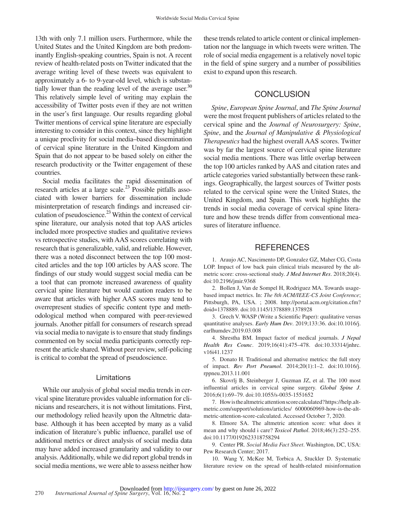13th with only 7.1 million users. Furthermore, while the United States and the United Kingdom are both predominantly English-speaking countries, Spain is not. A recent review of health-related posts on Twitter indicated that the average writing level of these tweets was equivalent to approximately a 6- to 9-year-old level, which is substantially lower than the reading level of the average user. $30$ This relatively simple level of writing may explain the accessibility of Twitter posts even if they are not written in the user's first language. Our results regarding global Twitter mentions of cervical spine literature are especially interesting to consider in this context, since they highlight a unique proclivity for social media–based dissemination of cervical spine literature in the United Kingdom and Spain that do not appear to be based solely on either the research productivity or the Twitter engagement of these countries.

Social media facilitates the rapid dissemination of research articles at a large scale.<sup>23</sup> Possible pitfalls associated with lower barriers for dissemination include misinterpretation of research findings and increased circulation of pseudoscience. $^{23}$  Within the context of cervical spine literature, our analysis noted that top AAS articles included more prospective studies and qualitative reviews vs retrospective studies, with AAS scores correlating with research that is generalizable, valid, and reliable. However, there was a noted disconnect between the top 100 mostcited articles and the top 100 articles by AAS score. The findings of our study would suggest social media can be a tool that can promote increased awareness of quality cervical spine literature but would caution readers to be aware that articles with higher AAS scores may tend to overrepresent studies of specific content type and methodological method when compared with peer-reviewed journals. Another pitfall for consumers of research spread via social media to navigate is to ensure that study findings commented on by social media participants correctly represent the article shared. Without peer review, self-policing is critical to combat the spread of pseudoscience.

#### Limitations

While our analysis of global social media trends in cervical spine literature provides valuable information for clinicians and researchers, it is not without limitations. First, our methodology relied heavily upon the Altmetric database. Although it has been accepted by many as a valid indication of literature's public influence, parallel use of additional metrics or direct analysis of social media data may have added increased granularity and validity to our analysis. Additionally, while we did report global trends in social media mentions, we were able to assess neither how these trends related to article content or clinical implementation nor the language in which tweets were written. The role of social media engagement is a relatively novel topic in the field of spine surgery and a number of possibilities exist to expand upon this research.

## **CONCLUSION**

*Spine*, *European Spine Journal*, and *The Spine Journal* were the most frequent publishers of articles related to the cervical spine and the *Journal of Neurosurgery: Spine*, *Spine*, and the *Journal of Manipulative & Physiological Therapeutics* had the highest overall AAS scores. Twitter was by far the largest source of cervical spine literature social media mentions. There was little overlap between the top 100 articles ranked by AAS and citation rates and article categories varied substantially between these rankings. Geographically, the largest sources of Twitter posts related to the cervical spine were the United States, the United Kingdom, and Spain. This work highlights the trends in social media coverage of cervical spine literature and how these trends differ from conventional measures of literature influence.

## **REFERENCES**

<span id="page-7-0"></span>1. Araujo AC, Nascimento DP, Gonzalez GZ, Maher CG, Costa LOP. Impact of low back pain clinical trials measured by the altmetric score: cross-sectional study. *J Med Internet Res*. 2018;20(4). doi:10.2196/jmir.9368

<span id="page-7-1"></span>2. Bollen J, Van de Sompel H, Rodriguez MA. Towards usagebased impact metrics. In: *The 8th ACM/IEEE-CS Joint Conference*; Pittsburgh, PA, USA. ; 2008. [http://portal.acm.org/citation.cfm?](http://portal.acm.org/citation.cfm?doid=1378889) [doid=1378889.](http://portal.acm.org/citation.cfm?doid=1378889) doi:10.1145/1378889.1378928

3. Grech V. WASP (Write a Scientific Paper): qualitative versus quantitative analyses. *Early Hum Dev*. 2019;133:36. doi:10.1016/j. earlhumdev.2019.03.008

4. Shrestha BM. Impact factor of medical journals. *J Nepal Health Res Counc*. 2019;16(41):475–478. doi:10.33314/jnhrc. v16i41.1237

<span id="page-7-2"></span>5. Donato H. Traditional and alternative metrics: the full story of impact. *Rev Port Pneumol*. 2014;20(1):1–2. doi:10.1016/j. rppneu.2013.11.001

<span id="page-7-3"></span>6. Skovrlj B, Steinberger J, Guzman JZ, et al. The 100 most influential articles in cervical spine surgery. *Global Spine J*. 2016;6(1):69–79. doi:10.1055/s-0035-1551652

<span id="page-7-4"></span>7. How is the altmetric attention score calculated? [https://help.alt](https://help.altmetric.com/support/solutions/articles/%206000060969-how-is-the-altmetric-attention-score-calculated)[metric.com/support/solutions/articles/ 6000060969-how-is-the-alt](https://help.altmetric.com/support/solutions/articles/%206000060969-how-is-the-altmetric-attention-score-calculated)[metric-attention-score-calculated.](https://help.altmetric.com/support/solutions/articles/%206000060969-how-is-the-altmetric-attention-score-calculated) Accessed October 7, 2020.

<span id="page-7-5"></span>8. Elmore SA. The altmetric attention score: what does it mean and why should i care? *Toxicol Pathol*. 2018;46(3):252–255. doi:10.1177/0192623318758294

<span id="page-7-6"></span>9. Center PR. *Social Media Fact Sheet*. Washington, DC, USA: Pew Research Center; 2017.

<span id="page-7-7"></span>10. Wang Y, McKee M, Torbica A, Stuckler D. Systematic literature review on the spread of health-related misinformation